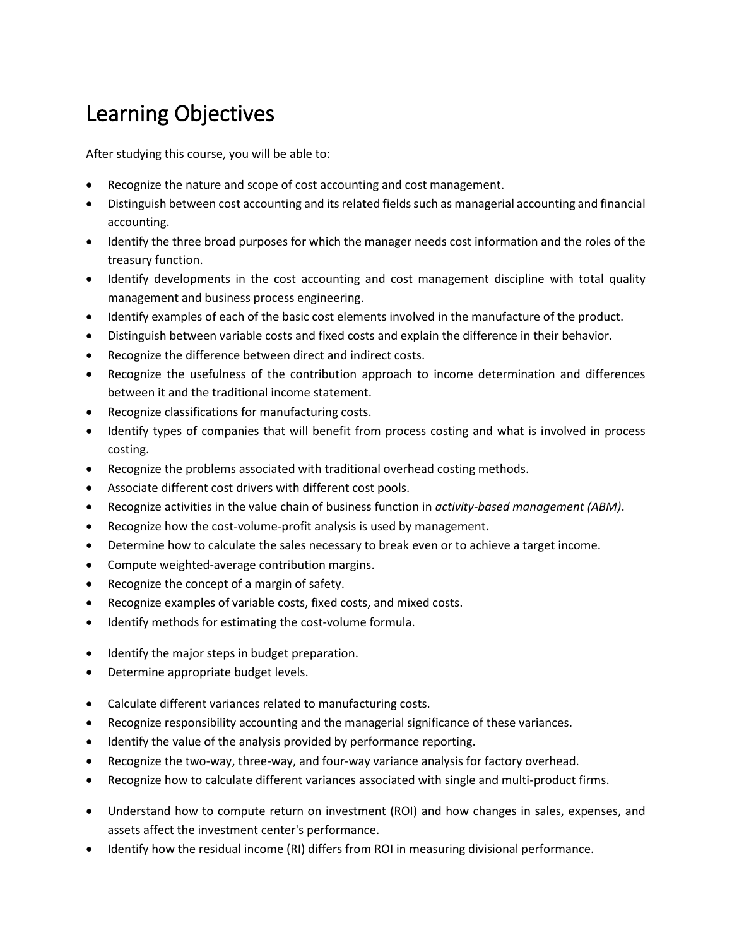## Learning Objectives

After studying this course, you will be able to:

- Recognize the nature and scope of cost accounting and cost management.
- Distinguish between cost accounting and its related fields such as managerial accounting and financial accounting.
- Identify the three broad purposes for which the manager needs cost information and the roles of the treasury function.
- Identify developments in the cost accounting and cost management discipline with total quality management and business process engineering.
- Identify examples of each of the basic cost elements involved in the manufacture of the product.
- Distinguish between variable costs and fixed costs and explain the difference in their behavior.
- Recognize the difference between direct and indirect costs.
- Recognize the usefulness of the contribution approach to income determination and differences between it and the traditional income statement.
- Recognize classifications for manufacturing costs.
- Identify types of companies that will benefit from process costing and what is involved in process costing.
- Recognize the problems associated with traditional overhead costing methods.
- Associate different cost drivers with different cost pools.
- Recognize activities in the value chain of business function in *activity-based management (ABM)*.
- Recognize how the cost-volume-profit analysis is used by management.
- Determine how to calculate the sales necessary to break even or to achieve a target income.
- Compute weighted-average contribution margins.
- Recognize the concept of a margin of safety.
- Recognize examples of variable costs, fixed costs, and mixed costs.
- Identify methods for estimating the cost-volume formula.
- Identify the major steps in budget preparation.
- Determine appropriate budget levels.
- Calculate different variances related to manufacturing costs.
- Recognize responsibility accounting and the managerial significance of these variances.
- Identify the value of the analysis provided by performance reporting.
- Recognize the two-way, three-way, and four-way variance analysis for factory overhead.
- Recognize how to calculate different variances associated with single and multi-product firms.
- Understand how to compute return on investment (ROI) and how changes in sales, expenses, and assets affect the investment center's performance.
- Identify how the residual income (RI) differs from ROI in measuring divisional performance.